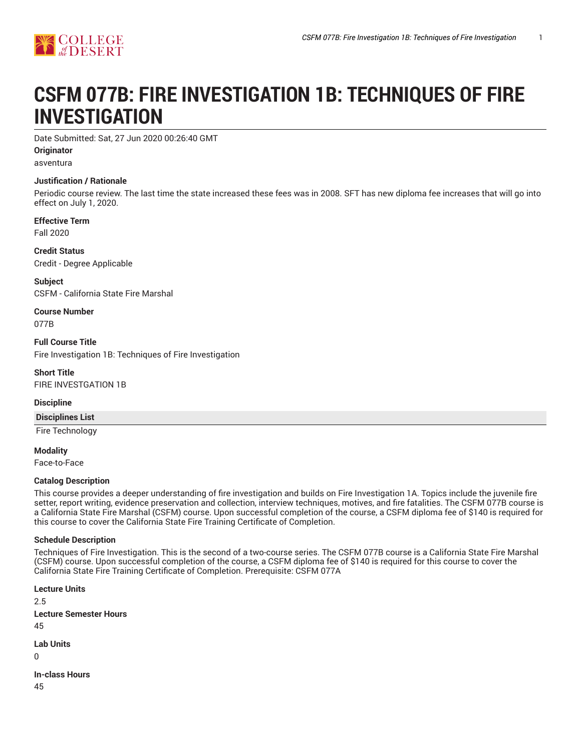# **CSFM 077B: FIRE INVESTIGATION 1B: TECHNIQUES OF FIRE INVESTIGATION**

Date Submitted: Sat, 27 Jun 2020 00:26:40 GMT

**Originator**

asventura

## **Justification / Rationale**

Periodic course review. The last time the state increased these fees was in 2008. SFT has new diploma fee increases that will go into effect on July 1, 2020.

**Effective Term**

Fall 2020

**Credit Status** Credit - Degree Applicable

**Subject** CSFM - California State Fire Marshal

**Course Number** 077B

**Full Course Title** Fire Investigation 1B: Techniques of Fire Investigation

**Short Title** FIRE INVESTGATION 1B

**Discipline**

**Disciplines List**

Fire Technology

**Modality**

Face-to-Face

## **Catalog Description**

This course provides a deeper understanding of fire investigation and builds on Fire Investigation 1A. Topics include the juvenile fire setter, report writing, evidence preservation and collection, interview techniques, motives, and fire fatalities. The CSFM 077B course is a California State Fire Marshal (CSFM) course. Upon successful completion of the course, a CSFM diploma fee of \$140 is required for this course to cover the California State Fire Training Certificate of Completion.

## **Schedule Description**

Techniques of Fire Investigation. This is the second of a two-course series. The CSFM 077B course is a California State Fire Marshal (CSFM) course. Upon successful completion of the course, a CSFM diploma fee of \$140 is required for this course to cover the California State Fire Training Certificate of Completion. Prerequisite: CSFM 077A

**Lecture Units** 2.5 **Lecture Semester Hours** 45 **Lab Units**  $\Omega$ 

**In-class Hours**

45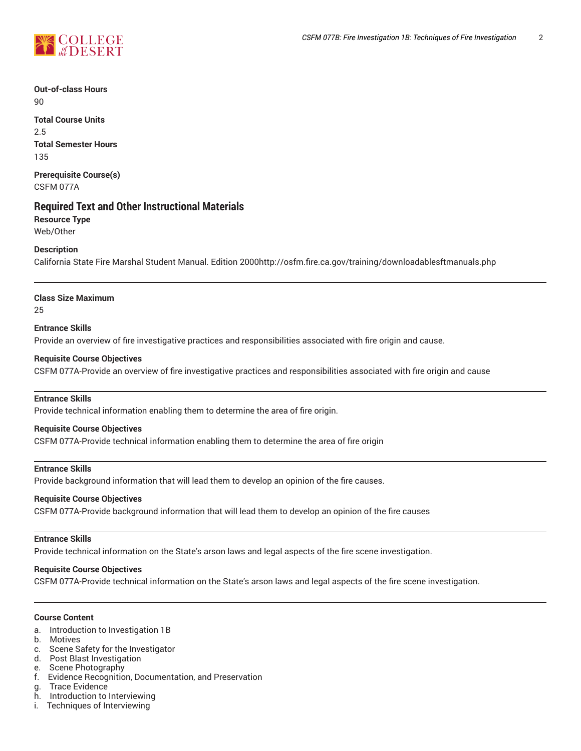**Out-of-class Hours**  $90$ 

**Total Course Units** 2.5 **Total Semester Hours** 135

**Prerequisite Course(s)** CSFM 077A

## **Required Text and Other Instructional Materials**

**Resource Type** Web/Other

## **Description**

California State Fire Marshal Student Manual. Edition 2000http://osfm.fire.ca.gov/training/downloadablesftmanuals.php

## **Class Size Maximum**

25

## **Entrance Skills**

Provide an overview of fire investigative practices and responsibilities associated with fire origin and cause.

## **Requisite Course Objectives**

CSFM 077A-Provide an overview of fire investigative practices and responsibilities associated with fire origin and cause

## **Entrance Skills**

Provide technical information enabling them to determine the area of fire origin.

## **Requisite Course Objectives**

CSFM 077A-Provide technical information enabling them to determine the area of fire origin

## **Entrance Skills**

Provide background information that will lead them to develop an opinion of the fire causes.

## **Requisite Course Objectives**

CSFM 077A-Provide background information that will lead them to develop an opinion of the fire causes

#### **Entrance Skills**

Provide technical information on the State's arson laws and legal aspects of the fire scene investigation.

## **Requisite Course Objectives**

CSFM 077A-Provide technical information on the State's arson laws and legal aspects of the fire scene investigation.

## **Course Content**

- a. Introduction to Investigation 1B
- b. Motives
- c. Scene Safety for the Investigator
- d. Post Blast Investigation
- e. Scene Photography
- f. Evidence Recognition, Documentation, and Preservation
- g. Trace Evidence<br>h. Introduction to
- Introduction to Interviewing
- i. Techniques of Interviewing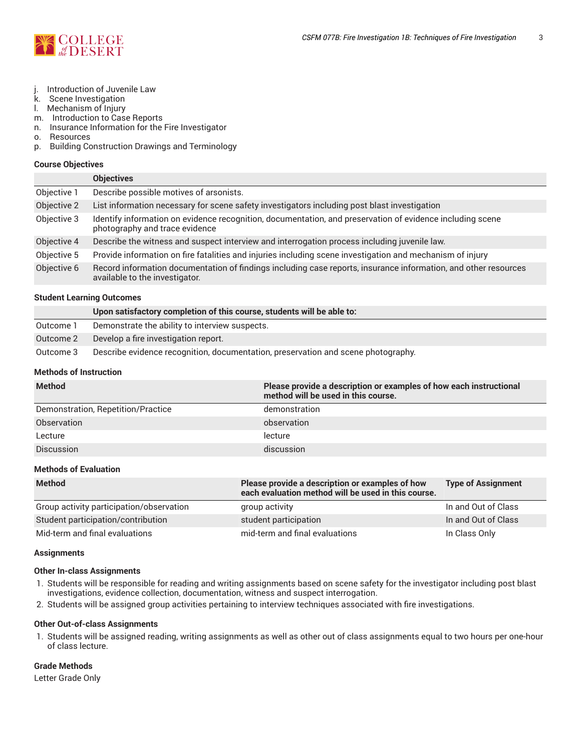

- j. Introduction of Juvenile Law<br>k. Scene Investigation
- **Scene Investigation**
- l. Mechanism of Injury
- m. Introduction to Case Reports
- n. Insurance Information for the Fire Investigator
- o. Resources
- p. Building Construction Drawings and Terminology

#### **Course Objectives**

|             | <b>Objectives</b>                                                                                                                                 |
|-------------|---------------------------------------------------------------------------------------------------------------------------------------------------|
| Objective 1 | Describe possible motives of arsonists.                                                                                                           |
| Objective 2 | List information necessary for scene safety investigators including post blast investigation                                                      |
| Objective 3 | Identify information on evidence recognition, documentation, and preservation of evidence including scene<br>photography and trace evidence       |
| Objective 4 | Describe the witness and suspect interview and interrogation process including juvenile law.                                                      |
| Objective 5 | Provide information on fire fatalities and injuries including scene investigation and mechanism of injury                                         |
| Objective 6 | Record information documentation of findings including case reports, insurance information, and other resources<br>available to the investigator. |

#### **Student Learning Outcomes**

|           | Upon satisfactory completion of this course, students will be able to:            |
|-----------|-----------------------------------------------------------------------------------|
| Outcome 1 | Demonstrate the ability to interview suspects.                                    |
| Outcome 2 | Develop a fire investigation report.                                              |
| Outcome 3 | Describe evidence recognition, documentation, preservation and scene photography. |

#### **Methods of Instruction**

| <b>Method</b>                      | Please provide a description or examples of how each instructional<br>method will be used in this course. |
|------------------------------------|-----------------------------------------------------------------------------------------------------------|
| Demonstration, Repetition/Practice | demonstration                                                                                             |
| Observation                        | observation                                                                                               |
| Lecture                            | lecture                                                                                                   |
| <b>Discussion</b>                  | discussion                                                                                                |

## **Methods of Evaluation**

| <b>Method</b>                            | Please provide a description or examples of how<br>each evaluation method will be used in this course. | <b>Type of Assignment</b> |
|------------------------------------------|--------------------------------------------------------------------------------------------------------|---------------------------|
| Group activity participation/observation | group activity                                                                                         | In and Out of Class       |
| Student participation/contribution       | student participation                                                                                  | In and Out of Class       |
| Mid-term and final evaluations           | mid-term and final evaluations                                                                         | In Class Only             |

#### **Assignments**

## **Other In-class Assignments**

- 1. Students will be responsible for reading and writing assignments based on scene safety for the investigator including post blast investigations, evidence collection, documentation, witness and suspect interrogation.
- 2. Students will be assigned group activities pertaining to interview techniques associated with fire investigations.

#### **Other Out-of-class Assignments**

1. Students will be assigned reading, writing assignments as well as other out of class assignments equal to two hours per one-hour of class lecture.

## **Grade Methods**

Letter Grade Only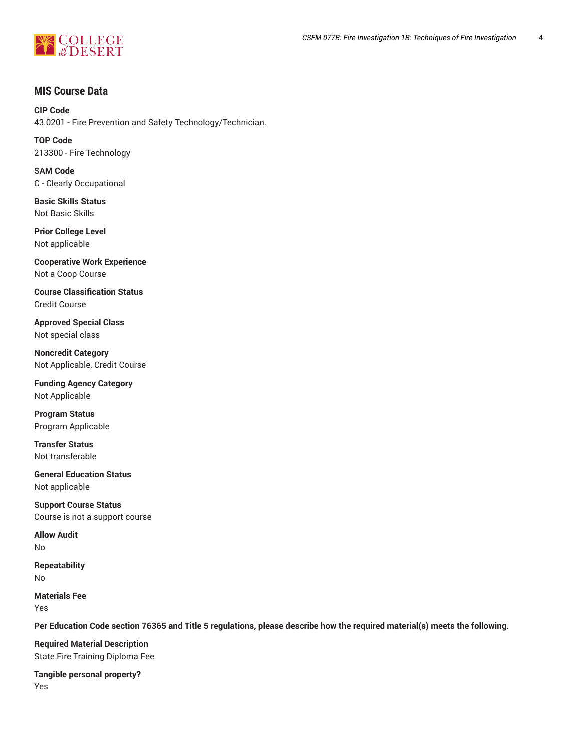

# **MIS Course Data**

**CIP Code** 43.0201 - Fire Prevention and Safety Technology/Technician.

**TOP Code** 213300 - Fire Technology

**SAM Code** C - Clearly Occupational

**Basic Skills Status** Not Basic Skills

**Prior College Level** Not applicable

**Cooperative Work Experience** Not a Coop Course

**Course Classification Status** Credit Course

**Approved Special Class** Not special class

**Noncredit Category** Not Applicable, Credit Course

**Funding Agency Category** Not Applicable

**Program Status** Program Applicable

**Transfer Status** Not transferable

**General Education Status** Not applicable

**Support Course Status** Course is not a support course

**Allow Audit** No

**Repeatability** No

**Materials Fee** Yes

Per Education Code section 76365 and Title 5 regulations, please describe how the required material(s) meets the following.

**Required Material Description** State Fire Training Diploma Fee

**Tangible personal property?** Yes